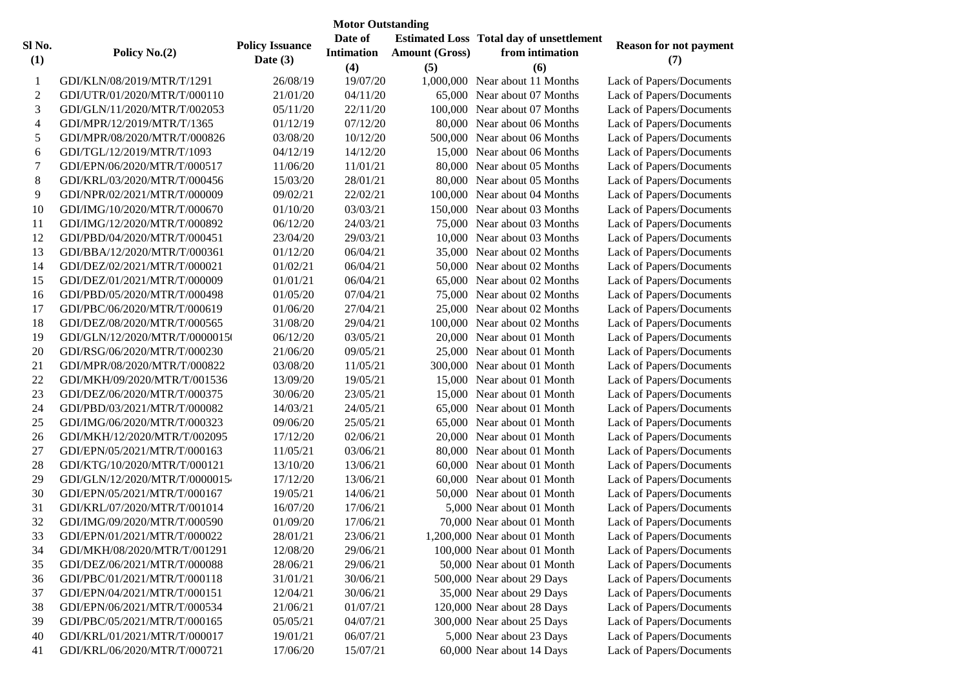| <b>Motor Outstanding</b> |                                |                                      |                   |                       |                                                 |                               |  |  |  |  |
|--------------------------|--------------------------------|--------------------------------------|-------------------|-----------------------|-------------------------------------------------|-------------------------------|--|--|--|--|
| Sl No.                   |                                |                                      | Date of           |                       | <b>Estimated Loss Total day of unsettlement</b> | <b>Reason for not payment</b> |  |  |  |  |
|                          | Policy No.(2)                  | <b>Policy Issuance</b><br>Date $(3)$ | <b>Intimation</b> | <b>Amount (Gross)</b> | from intimation                                 | (7)                           |  |  |  |  |
| (1)                      |                                |                                      | (4)               | (5)                   | (6)                                             |                               |  |  |  |  |
| -1                       | GDI/KLN/08/2019/MTR/T/1291     | 26/08/19                             | 19/07/20          |                       | 1,000,000 Near about 11 Months                  | Lack of Papers/Documents      |  |  |  |  |
| $\overline{2}$           | GDI/UTR/01/2020/MTR/T/000110   | 21/01/20                             | 04/11/20          |                       | 65,000 Near about 07 Months                     | Lack of Papers/Documents      |  |  |  |  |
| 3                        | GDI/GLN/11/2020/MTR/T/002053   | 05/11/20                             | 22/11/20          |                       | 100,000 Near about 07 Months                    | Lack of Papers/Documents      |  |  |  |  |
| $\overline{4}$           | GDI/MPR/12/2019/MTR/T/1365     | 01/12/19                             | 07/12/20          |                       | 80,000 Near about 06 Months                     | Lack of Papers/Documents      |  |  |  |  |
| $\mathfrak{S}$           | GDI/MPR/08/2020/MTR/T/000826   | 03/08/20                             | 10/12/20          |                       | 500,000 Near about 06 Months                    | Lack of Papers/Documents      |  |  |  |  |
| 6                        | GDI/TGL/12/2019/MTR/T/1093     | 04/12/19                             | 14/12/20          |                       | 15,000 Near about 06 Months                     | Lack of Papers/Documents      |  |  |  |  |
| $\tau$                   | GDI/EPN/06/2020/MTR/T/000517   | 11/06/20                             | 11/01/21          |                       | 80,000 Near about 05 Months                     | Lack of Papers/Documents      |  |  |  |  |
| $\,8\,$                  | GDI/KRL/03/2020/MTR/T/000456   | 15/03/20                             | 28/01/21          |                       | 80,000 Near about 05 Months                     | Lack of Papers/Documents      |  |  |  |  |
| 9                        | GDI/NPR/02/2021/MTR/T/000009   | 09/02/21                             | 22/02/21          |                       | 100,000 Near about 04 Months                    | Lack of Papers/Documents      |  |  |  |  |
| 10                       | GDI/IMG/10/2020/MTR/T/000670   | 01/10/20                             | 03/03/21          |                       | 150,000 Near about 03 Months                    | Lack of Papers/Documents      |  |  |  |  |
| 11                       | GDI/IMG/12/2020/MTR/T/000892   | 06/12/20                             | 24/03/21          |                       | 75,000 Near about 03 Months                     | Lack of Papers/Documents      |  |  |  |  |
| 12                       | GDI/PBD/04/2020/MTR/T/000451   | 23/04/20                             | 29/03/21          |                       | 10,000 Near about 03 Months                     | Lack of Papers/Documents      |  |  |  |  |
| 13                       | GDI/BBA/12/2020/MTR/T/000361   | 01/12/20                             | 06/04/21          |                       | 35,000 Near about 02 Months                     | Lack of Papers/Documents      |  |  |  |  |
| 14                       | GDI/DEZ/02/2021/MTR/T/000021   | 01/02/21                             | 06/04/21          |                       | 50,000 Near about 02 Months                     | Lack of Papers/Documents      |  |  |  |  |
| 15                       | GDI/DEZ/01/2021/MTR/T/000009   | 01/01/21                             | 06/04/21          |                       | 65,000 Near about 02 Months                     | Lack of Papers/Documents      |  |  |  |  |
| 16                       | GDI/PBD/05/2020/MTR/T/000498   | 01/05/20                             | 07/04/21          |                       | 75,000 Near about 02 Months                     | Lack of Papers/Documents      |  |  |  |  |
| 17                       | GDI/PBC/06/2020/MTR/T/000619   | 01/06/20                             | 27/04/21          |                       | 25,000 Near about 02 Months                     | Lack of Papers/Documents      |  |  |  |  |
| 18                       | GDI/DEZ/08/2020/MTR/T/000565   | 31/08/20                             | 29/04/21          |                       | 100,000 Near about 02 Months                    | Lack of Papers/Documents      |  |  |  |  |
| 19                       | GDI/GLN/12/2020/MTR/T/00000150 | 06/12/20                             | 03/05/21          |                       | 20,000 Near about 01 Month                      | Lack of Papers/Documents      |  |  |  |  |
| 20                       | GDI/RSG/06/2020/MTR/T/000230   | 21/06/20                             | 09/05/21          |                       | 25,000 Near about 01 Month                      | Lack of Papers/Documents      |  |  |  |  |
| 21                       | GDI/MPR/08/2020/MTR/T/000822   | 03/08/20                             | 11/05/21          |                       | 300,000 Near about 01 Month                     | Lack of Papers/Documents      |  |  |  |  |
| 22                       | GDI/MKH/09/2020/MTR/T/001536   | 13/09/20                             | 19/05/21          |                       | 15,000 Near about 01 Month                      | Lack of Papers/Documents      |  |  |  |  |
| 23                       | GDI/DEZ/06/2020/MTR/T/000375   | 30/06/20                             | 23/05/21          |                       | 15,000 Near about 01 Month                      | Lack of Papers/Documents      |  |  |  |  |
| 24                       | GDI/PBD/03/2021/MTR/T/000082   | 14/03/21                             | 24/05/21          |                       | 65,000 Near about 01 Month                      | Lack of Papers/Documents      |  |  |  |  |
| 25                       | GDI/IMG/06/2020/MTR/T/000323   | 09/06/20                             | 25/05/21          |                       | 65,000 Near about 01 Month                      | Lack of Papers/Documents      |  |  |  |  |
| 26                       | GDI/MKH/12/2020/MTR/T/002095   | 17/12/20                             | 02/06/21          |                       | 20,000 Near about 01 Month                      | Lack of Papers/Documents      |  |  |  |  |
| 27                       | GDI/EPN/05/2021/MTR/T/000163   | 11/05/21                             | 03/06/21          |                       | 80,000 Near about 01 Month                      | Lack of Papers/Documents      |  |  |  |  |
| 28                       | GDI/KTG/10/2020/MTR/T/000121   | 13/10/20                             | 13/06/21          |                       | 60,000 Near about 01 Month                      | Lack of Papers/Documents      |  |  |  |  |
| 29                       | GDI/GLN/12/2020/MTR/T/00000154 | 17/12/20                             | 13/06/21          |                       | 60,000 Near about 01 Month                      | Lack of Papers/Documents      |  |  |  |  |
| 30                       | GDI/EPN/05/2021/MTR/T/000167   | 19/05/21                             | 14/06/21          |                       | 50,000 Near about 01 Month                      | Lack of Papers/Documents      |  |  |  |  |
| 31                       | GDI/KRL/07/2020/MTR/T/001014   | 16/07/20                             | 17/06/21          |                       | 5,000 Near about 01 Month                       | Lack of Papers/Documents      |  |  |  |  |
| 32                       | GDI/IMG/09/2020/MTR/T/000590   | 01/09/20                             | 17/06/21          |                       | 70,000 Near about 01 Month                      | Lack of Papers/Documents      |  |  |  |  |
| 33                       | GDI/EPN/01/2021/MTR/T/000022   | 28/01/21                             | 23/06/21          |                       | 1,200,000 Near about 01 Month                   | Lack of Papers/Documents      |  |  |  |  |
| 34                       | GDI/MKH/08/2020/MTR/T/001291   | 12/08/20                             | 29/06/21          |                       | 100,000 Near about 01 Month                     | Lack of Papers/Documents      |  |  |  |  |
| 35                       | GDI/DEZ/06/2021/MTR/T/000088   | 28/06/21                             | 29/06/21          |                       | 50,000 Near about 01 Month                      | Lack of Papers/Documents      |  |  |  |  |
| 36                       | GDI/PBC/01/2021/MTR/T/000118   | 31/01/21                             | 30/06/21          |                       | 500,000 Near about 29 Days                      | Lack of Papers/Documents      |  |  |  |  |
| 37                       | GDI/EPN/04/2021/MTR/T/000151   | 12/04/21                             | 30/06/21          |                       | 35,000 Near about 29 Days                       | Lack of Papers/Documents      |  |  |  |  |
| 38                       | GDI/EPN/06/2021/MTR/T/000534   | 21/06/21                             | 01/07/21          |                       | 120,000 Near about 28 Days                      | Lack of Papers/Documents      |  |  |  |  |
| 39                       | GDI/PBC/05/2021/MTR/T/000165   | 05/05/21                             | 04/07/21          |                       | 300,000 Near about 25 Days                      | Lack of Papers/Documents      |  |  |  |  |
| 40                       | GDI/KRL/01/2021/MTR/T/000017   | 19/01/21                             | 06/07/21          |                       | 5,000 Near about 23 Days                        | Lack of Papers/Documents      |  |  |  |  |
| 41                       | GDI/KRL/06/2020/MTR/T/000721   | 17/06/20                             | 15/07/21          |                       | 60,000 Near about 14 Days                       | Lack of Papers/Documents      |  |  |  |  |